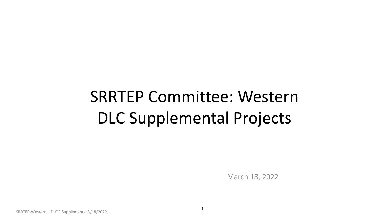# SRRTEP Committee: Western DLC Supplemental Projects

March 18, 2022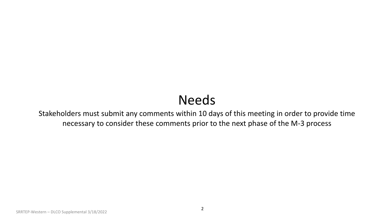## Needs

Stakeholders must submit any comments within 10 days of this meeting in order to provide time necessary to consider these comments prior to the next phase of the M-3 process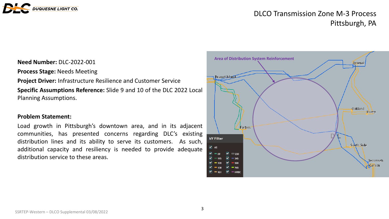

### DLCO Transmission Zone M-3 Process Pittsburgh, PA

#### **Need Number: DLC-2022-001**

**Process Stage:** Needs Meeting

**Project Driver:** Infrastructure Resilience and Customer Service **Specific Assumptions Reference:** Slide 9 and 10 of the DLC 2022 Local Planning Assumptions.

#### **Problem Statement:**

Load growth in Pittsburgh's downtown area, and in its adjacent communities, has presented concerns regarding DLC's existing distribution lines and its ability to serve its customers. As such, additional capacity and resiliency is needed to provide adequate distribution service to these areas.

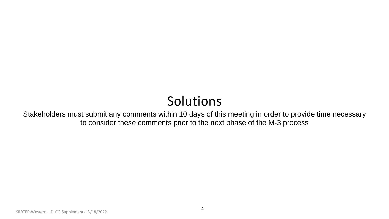## Solutions

Stakeholders must submit any comments within 10 days of this meeting in order to provide time necessary to consider these comments prior to the next phase of the M-3 process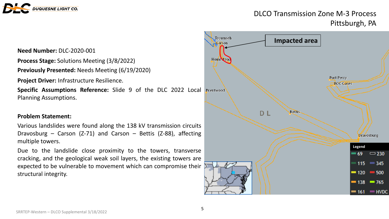

### DLCO Transmission Zone M-3 Process Pittsburgh, PA

**Need Number: DLC-2020-001** 

**Process Stage:** Solutions Meeting (3/8/2022)

**Previously Presented:** Needs Meeting (6/19/2020)

**Project Driver:** Infrastructure Resilience.

**Specific Assumptions Reference:** Slide 9 of the DLC 2022 Local Planning Assumptions.

#### **Problem Statement:**

Various landslides were found along the 138 kV transmission circuits Dravosburg – Carson (Z-71) and Carson – Bettis (Z-88), affecting multiple towers.

Due to the landslide close proximity to the towers, transverse cracking, and the geological weak soil layers, the existing towers are expected to be vulnerable to movement which can compromise their structural integrity.

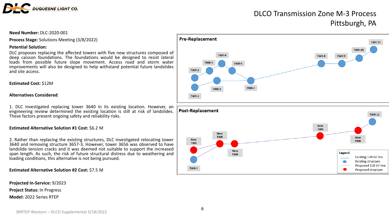

### DLCO Transmission Zone M-3 Process Pittsburgh, PA

#### **Need Number:** DLC-2020-001

**Process Stage:** Solutions Meeting (3/8/2022)

#### **Potential Solution:**

DLC proposes replacing the affected towers with five new structures composed of deep caisson foundations. The foundations would be designed to resist lateral loads from possible future slope movement. Access road and storm water improvements will also be designed to help withstand potential future landslides and site access.

#### **Estimated Cost:** \$12M

#### **Alternatives Considered**:

1. DLC investigated replacing tower 3640 in its existing location. However, an engineering review determined the existing location is still at risk of landslides. These factors present ongoing safety and reliability risks.

#### **Estimated Alternative Solution #1 Cost:** \$6.2 M

2. Rather than replacing the existing structures, DLC investigated relocating tower 3640 and removing structure 3657-3. However, tower 3656 was observed to have landslide tension cracks and it was deemed not suitable to support the increased span length. As such, the risk of future structural distress due to weathering and loading conditions, this alternative is not being pursued.

#### **Estimated Alternative Solution #2 Cost:** \$7.5 M

**Projected In-Service:** 9/2023

**Project Status:** In Progress

**Model:** 2022 Series RTEP



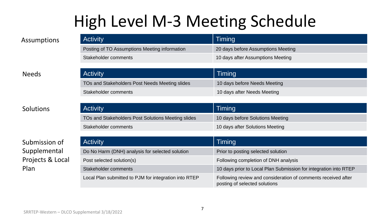# High Level M-3 Meeting Schedule

| Assumptions  | <b>Activity</b>                                | <b>Timing</b>                      |
|--------------|------------------------------------------------|------------------------------------|
|              | Posting of TO Assumptions Meeting information  | 20 days before Assumptions Meeting |
|              | Stakeholder comments                           | 10 days after Assumptions Meeting  |
|              |                                                |                                    |
| <b>Needs</b> | <b>Activity</b>                                | Timing                             |
|              | TOs and Stakeholders Post Needs Meeting slides | 10 days before Needs Meeting       |
|              | Stakeholder comments                           | 10 days after Needs Meeting        |

Solutions

Submission of Supplemental Projects & Local Plan

| <b>Activity</b>                                    | Timing                           |
|----------------------------------------------------|----------------------------------|
| TOs and Stakeholders Post Solutions Meeting slides | 10 days before Solutions Meeting |
| Stakeholder comments                               | 10 days after Solutions Meeting  |

| <b>Activity</b>                                       | Timing                                                                                         |
|-------------------------------------------------------|------------------------------------------------------------------------------------------------|
| Do No Harm (DNH) analysis for selected solution       | Prior to posting selected solution                                                             |
| Post selected solution(s)                             | Following completion of DNH analysis                                                           |
| Stakeholder comments                                  | 10 days prior to Local Plan Submission for integration into RTEP                               |
| Local Plan submitted to PJM for integration into RTEP | Following review and consideration of comments received after<br>posting of selected solutions |